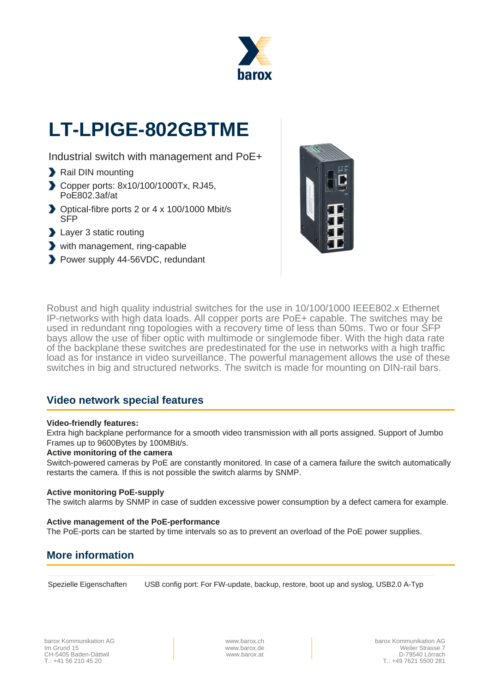

# **LT-LPIGE-802GBTME**

Industrial switch with management and PoE+

- Rail DIN mounting
- Copper ports: 8x10/100/1000Tx, RJ45, PoE802.3af/at
- ◆ Optical-fibre ports 2 or 4 x 100/1000 Mbit/s SFP
- **Layer 3 static routing**
- with management, ring-capable
- Power supply 44-56VDC, redundant



Robust and high quality industrial switches for the use in 10/100/1000 IEEE802.x Ethernet IP-networks with high data loads. All copper ports are PoE+ capable. The switches may be used in redundant ring topologies with a recovery time of less than 50ms. Two or four SFP bays allow the use of fiber optic with multimode or singlemode fiber. With the high data rate of the backplane these switches are predestinated for the use in networks with a high traffic load as for instance in video surveillance. The powerful management allows the use of these switches in big and structured networks. The switch is made for mounting on DIN-rail bars.

# **Video network special features**

#### **Video-friendly features:**

Extra high backplane performance for a smooth video transmission with all ports assigned. Support of Jumbo Frames up to 9600Bytes by 100MBit/s.

#### **Active monitoring of the camera**

Switch-powered cameras by PoE are constantly monitored. In case of a camera failure the switch automatically restarts the camera. If this is not possible the switch alarms by SNMP.

#### **Active monitoring PoE-supply**

The switch alarms by SNMP in case of sudden excessive power consumption by a defect camera for example.

#### **Active management of the PoE-performance**

The PoE-ports can be started by time intervals so as to prevent an overload of the PoE power supplies.

# **More information**

Spezielle Eigenschaften USB config port: For FW-update, backup, restore, boot up and syslog, USB2.0 A-Typ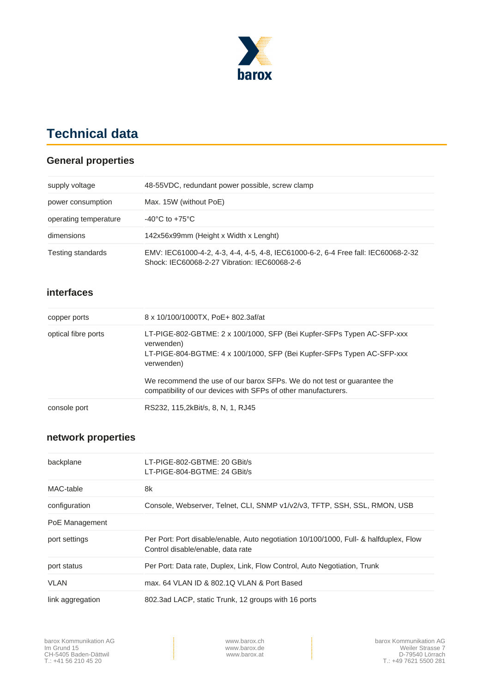

# **Technical data**

## **General properties**

| supply voltage        | 48-55 VDC, redundant power possible, screw clamp                                                                                  |
|-----------------------|-----------------------------------------------------------------------------------------------------------------------------------|
| power consumption     | Max. 15W (without PoE)                                                                                                            |
| operating temperature | $-40^{\circ}$ C to $+75^{\circ}$ C                                                                                                |
| dimensions            | 142x56x99mm (Height x Width x Lenght)                                                                                             |
| Testing standards     | EMV: IEC61000-4-2, 4-3, 4-4, 4-5, 4-8, IEC61000-6-2, 6-4 Free fall: IEC60068-2-32<br>Shock: IEC60068-2-27 Vibration: IEC60068-2-6 |

### **interfaces**

| copper ports        | 8 x 10/100/1000TX, PoE+ 802.3af/at                                                                                                                                           |
|---------------------|------------------------------------------------------------------------------------------------------------------------------------------------------------------------------|
| optical fibre ports | LT-PIGE-802-GBTME: 2 x 100/1000, SFP (Bei Kupfer-SFPs Typen AC-SFP-xxx<br>verwenden)<br>LT-PIGE-804-BGTME: 4 x 100/1000, SFP (Bei Kupfer-SFPs Typen AC-SFP-xxx<br>verwenden) |
|                     | We recommend the use of our barox SFPs. We do not test or guarantee the<br>compatibility of our devices with SFPs of other manufacturers.                                    |
| console port        | RS232, 115,2kBit/s, 8, N, 1, RJ45                                                                                                                                            |

## **network properties**

| backplane        | LT-PIGE-802-GBTME: 20 GBit/s                                                                                               |  |
|------------------|----------------------------------------------------------------------------------------------------------------------------|--|
|                  | LT-PIGE-804-BGTME: 24 GBit/s                                                                                               |  |
| MAC-table        | 8k                                                                                                                         |  |
| configuration    | Console, Webserver, Telnet, CLI, SNMP v1/v2/v3, TFTP, SSH, SSL, RMON, USB                                                  |  |
| PoE Management   |                                                                                                                            |  |
| port settings    | Per Port: Port disable/enable, Auto negotiation 10/100/1000, Full- & halfduplex, Flow<br>Control disable/enable, data rate |  |
| port status      | Per Port: Data rate, Duplex, Link, Flow Control, Auto Negotiation, Trunk                                                   |  |
| <b>VLAN</b>      | max, 64 VLAN ID & 802.10 VLAN & Port Based                                                                                 |  |
| link aggregation | 802.3ad LACP, static Trunk, 12 groups with 16 ports                                                                        |  |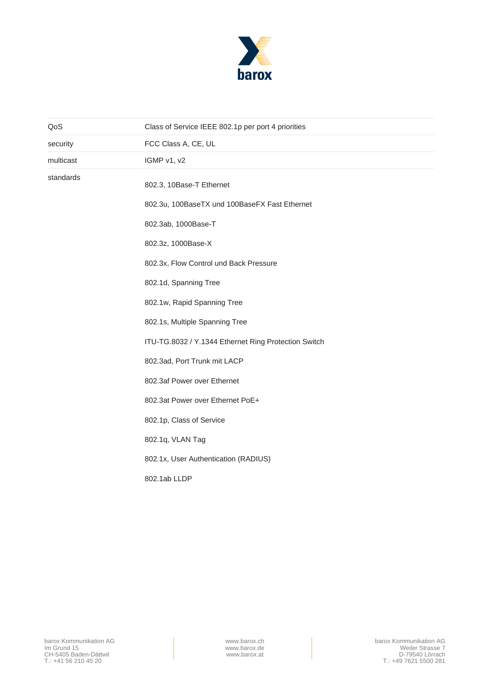

| QoS       | Class of Service IEEE 802.1p per port 4 priorities   |  |
|-----------|------------------------------------------------------|--|
| security  | FCC Class A, CE, UL                                  |  |
| multicast | IGMP v1, v2                                          |  |
| standards | 802.3, 10Base-T Ethernet                             |  |
|           | 802.3u, 100BaseTX und 100BaseFX Fast Ethernet        |  |
|           | 802.3ab, 1000Base-T                                  |  |
|           | 802.3z, 1000Base-X                                   |  |
|           | 802.3x, Flow Control und Back Pressure               |  |
|           | 802.1d, Spanning Tree                                |  |
|           | 802.1w, Rapid Spanning Tree                          |  |
|           | 802.1s, Multiple Spanning Tree                       |  |
|           | ITU-TG.8032 / Y.1344 Ethernet Ring Protection Switch |  |
|           | 802.3ad, Port Trunk mit LACP                         |  |
|           | 802.3af Power over Ethernet                          |  |
|           | 802.3at Power over Ethernet PoE+                     |  |
|           | 802.1p, Class of Service                             |  |
|           | 802.1q, VLAN Tag                                     |  |
|           | 802.1x, User Authentication (RADIUS)                 |  |
|           | 802.1ab LLDP                                         |  |